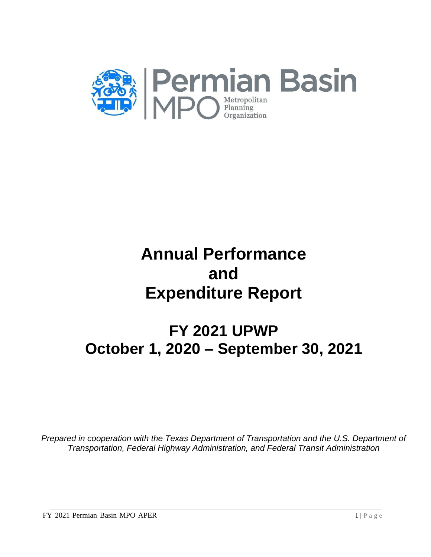

# **Annual Performance and Expenditure Report**

# **FY 2021 UPWP October 1, 2020 – September 30, 2021**

*Prepared in cooperation with the Texas Department of Transportation and the U.S. Department of Transportation, Federal Highway Administration, and Federal Transit Administration*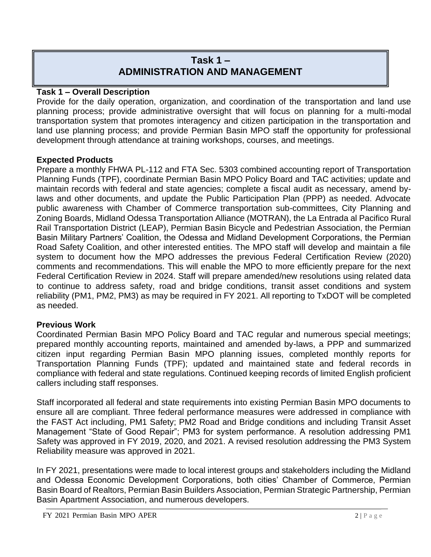# **Task 1 – ADMINISTRATION AND MANAGEMENT**

# **Task 1 – Overall Description**

Provide for the daily operation, organization, and coordination of the transportation and land use planning process; provide administrative oversight that will focus on planning for a multi-modal transportation system that promotes interagency and citizen participation in the transportation and land use planning process; and provide Permian Basin MPO staff the opportunity for professional development through attendance at training workshops, courses, and meetings.

# **Expected Products**

Prepare a monthly FHWA PL-112 and FTA Sec. 5303 combined accounting report of Transportation Planning Funds (TPF), coordinate Permian Basin MPO Policy Board and TAC activities; update and maintain records with federal and state agencies; complete a fiscal audit as necessary, amend bylaws and other documents, and update the Public Participation Plan (PPP) as needed. Advocate public awareness with Chamber of Commerce transportation sub-committees, City Planning and Zoning Boards, Midland Odessa Transportation Alliance (MOTRAN), the La Entrada al Pacifico Rural Rail Transportation District (LEAP), Permian Basin Bicycle and Pedestrian Association, the Permian Basin Military Partners' Coalition, the Odessa and Midland Development Corporations, the Permian Road Safety Coalition, and other interested entities. The MPO staff will develop and maintain a file system to document how the MPO addresses the previous Federal Certification Review (2020) comments and recommendations. This will enable the MPO to more efficiently prepare for the next Federal Certification Review in 2024. Staff will prepare amended/new resolutions using related data to continue to address safety, road and bridge conditions, transit asset conditions and system reliability (PM1, PM2, PM3) as may be required in FY 2021. All reporting to TxDOT will be completed as needed.

# **Previous Work**

Coordinated Permian Basin MPO Policy Board and TAC regular and numerous special meetings; prepared monthly accounting reports, maintained and amended by-laws, a PPP and summarized citizen input regarding Permian Basin MPO planning issues, completed monthly reports for Transportation Planning Funds (TPF); updated and maintained state and federal records in compliance with federal and state regulations. Continued keeping records of limited English proficient callers including staff responses.

Staff incorporated all federal and state requirements into existing Permian Basin MPO documents to ensure all are compliant. Three federal performance measures were addressed in compliance with the FAST Act including, PM1 Safety; PM2 Road and Bridge conditions and including Transit Asset Management "State of Good Repair"; PM3 for system performance. A resolution addressing PM1 Safety was approved in FY 2019, 2020, and 2021. A revised resolution addressing the PM3 System Reliability measure was approved in 2021.

In FY 2021, presentations were made to local interest groups and stakeholders including the Midland and Odessa Economic Development Corporations, both cities' Chamber of Commerce, Permian Basin Board of Realtors, Permian Basin Builders Association, Permian Strategic Partnership, Permian Basin Apartment Association, and numerous developers.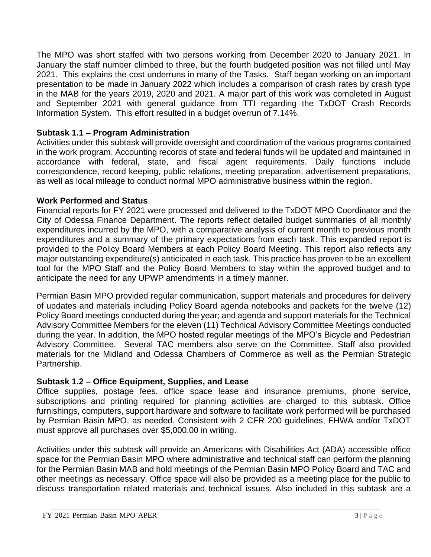The MPO was short staffed with two persons working from December 2020 to January 2021. In January the staff number climbed to three, but the fourth budgeted position was not filled until May 2021. This explains the cost underruns in many of the Tasks. Staff began working on an important presentation to be made in January 2022 which includes a comparison of crash rates by crash type in the MAB for the years 2019, 2020 and 2021. A major part of this work was completed in August and September 2021 with general guidance from TTI regarding the TxDOT Crash Records Information System. This effort resulted in a budget overrun of 7.14%.

# **Subtask 1.1 – Program Administration**

Activities under this subtask will provide oversight and coordination of the various programs contained in the work program. Accounting records of state and federal funds will be updated and maintained in accordance with federal, state, and fiscal agent requirements. Daily functions include correspondence, record keeping, public relations, meeting preparation, advertisement preparations, as well as local mileage to conduct normal MPO administrative business within the region.

# **Work Performed and Status**

Financial reports for FY 2021 were processed and delivered to the TxDOT MPO Coordinator and the City of Odessa Finance Department. The reports reflect detailed budget summaries of all monthly expenditures incurred by the MPO, with a comparative analysis of current month to previous month expenditures and a summary of the primary expectations from each task. This expanded report is provided to the Policy Board Members at each Policy Board Meeting. This report also reflects any major outstanding expenditure(s) anticipated in each task. This practice has proven to be an excellent tool for the MPO Staff and the Policy Board Members to stay within the approved budget and to anticipate the need for any UPWP amendments in a timely manner.

Permian Basin MPO provided regular communication, support materials and procedures for delivery of updates and materials including Policy Board agenda notebooks and packets for the twelve (12) Policy Board meetings conducted during the year; and agenda and support materials for the Technical Advisory Committee Members for the eleven (11) Technical Advisory Committee Meetings conducted during the year. In addition, the MPO hosted regular meetings of the MPO's Bicycle and Pedestrian Advisory Committee. Several TAC members also serve on the Committee. Staff also provided materials for the Midland and Odessa Chambers of Commerce as well as the Permian Strategic Partnership.

# **Subtask 1.2 – Office Equipment, Supplies, and Lease**

Office supplies, postage fees, office space lease and insurance premiums, phone service, subscriptions and printing required for planning activities are charged to this subtask. Office furnishings, computers, support hardware and software to facilitate work performed will be purchased by Permian Basin MPO, as needed. Consistent with 2 CFR 200 guidelines, FHWA and/or TxDOT must approve all purchases over \$5,000.00 in writing.

Activities under this subtask will provide an Americans with Disabilities Act (ADA) accessible office space for the Permian Basin MPO where administrative and technical staff can perform the planning for the Permian Basin MAB and hold meetings of the Permian Basin MPO Policy Board and TAC and other meetings as necessary. Office space will also be provided as a meeting place for the public to discuss transportation related materials and technical issues. Also included in this subtask are a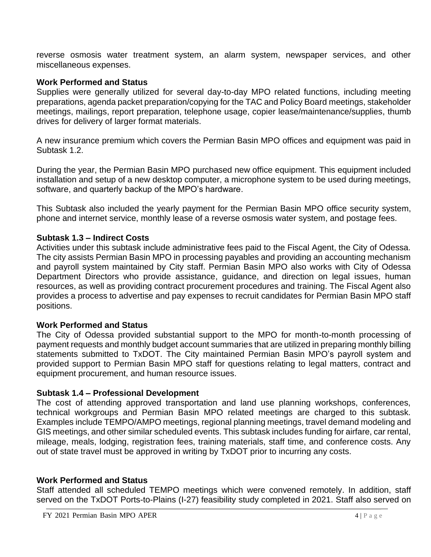reverse osmosis water treatment system, an alarm system, newspaper services, and other miscellaneous expenses.

#### **Work Performed and Status**

Supplies were generally utilized for several day-to-day MPO related functions, including meeting preparations, agenda packet preparation/copying for the TAC and Policy Board meetings, stakeholder meetings, mailings, report preparation, telephone usage, copier lease/maintenance/supplies, thumb drives for delivery of larger format materials.

A new insurance premium which covers the Permian Basin MPO offices and equipment was paid in Subtask 1.2.

During the year, the Permian Basin MPO purchased new office equipment. This equipment included installation and setup of a new desktop computer, a microphone system to be used during meetings, software, and quarterly backup of the MPO's hardware.

This Subtask also included the yearly payment for the Permian Basin MPO office security system, phone and internet service, monthly lease of a reverse osmosis water system, and postage fees.

#### **Subtask 1.3 – Indirect Costs**

Activities under this subtask include administrative fees paid to the Fiscal Agent, the City of Odessa. The city assists Permian Basin MPO in processing payables and providing an accounting mechanism and payroll system maintained by City staff. Permian Basin MPO also works with City of Odessa Department Directors who provide assistance, guidance, and direction on legal issues, human resources, as well as providing contract procurement procedures and training. The Fiscal Agent also provides a process to advertise and pay expenses to recruit candidates for Permian Basin MPO staff positions.

#### **Work Performed and Status**

The City of Odessa provided substantial support to the MPO for month-to-month processing of payment requests and monthly budget account summaries that are utilized in preparing monthly billing statements submitted to TxDOT. The City maintained Permian Basin MPO's payroll system and provided support to Permian Basin MPO staff for questions relating to legal matters, contract and equipment procurement, and human resource issues.

#### **Subtask 1.4 – Professional Development**

The cost of attending approved transportation and land use planning workshops, conferences, technical workgroups and Permian Basin MPO related meetings are charged to this subtask. Examples include TEMPO/AMPO meetings, regional planning meetings, travel demand modeling and GIS meetings, and other similar scheduled events. This subtask includes funding for airfare, car rental, mileage, meals, lodging, registration fees, training materials, staff time, and conference costs. Any out of state travel must be approved in writing by TxDOT prior to incurring any costs.

#### **Work Performed and Status**

Staff attended all scheduled TEMPO meetings which were convened remotely. In addition, staff served on the TxDOT Ports-to-Plains (I-27) feasibility study completed in 2021. Staff also served on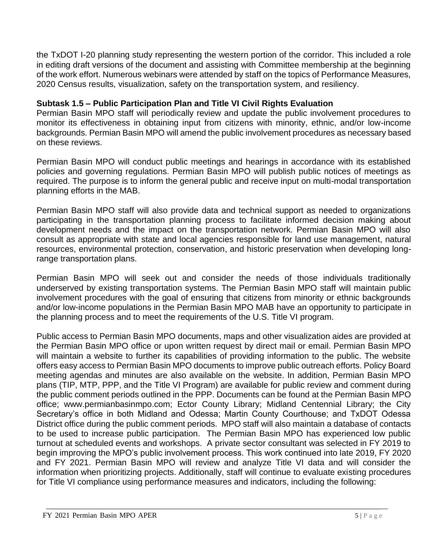the TxDOT I-20 planning study representing the western portion of the corridor. This included a role in editing draft versions of the document and assisting with Committee membership at the beginning of the work effort. Numerous webinars were attended by staff on the topics of Performance Measures, 2020 Census results, visualization, safety on the transportation system, and resiliency.

# **Subtask 1.5 – Public Participation Plan and Title VI Civil Rights Evaluation**

Permian Basin MPO staff will periodically review and update the public involvement procedures to monitor its effectiveness in obtaining input from citizens with minority, ethnic, and/or low-income backgrounds. Permian Basin MPO will amend the public involvement procedures as necessary based on these reviews.

Permian Basin MPO will conduct public meetings and hearings in accordance with its established policies and governing regulations. Permian Basin MPO will publish public notices of meetings as required. The purpose is to inform the general public and receive input on multi-modal transportation planning efforts in the MAB.

Permian Basin MPO staff will also provide data and technical support as needed to organizations participating in the transportation planning process to facilitate informed decision making about development needs and the impact on the transportation network. Permian Basin MPO will also consult as appropriate with state and local agencies responsible for land use management, natural resources, environmental protection, conservation, and historic preservation when developing longrange transportation plans.

Permian Basin MPO will seek out and consider the needs of those individuals traditionally underserved by existing transportation systems. The Permian Basin MPO staff will maintain public involvement procedures with the goal of ensuring that citizens from minority or ethnic backgrounds and/or low-income populations in the Permian Basin MPO MAB have an opportunity to participate in the planning process and to meet the requirements of the U.S. Title VI program.

Public access to Permian Basin MPO documents, maps and other visualization aides are provided at the Permian Basin MPO office or upon written request by direct mail or email. Permian Basin MPO will maintain a website to further its capabilities of providing information to the public. The website offers easy access to Permian Basin MPO documents to improve public outreach efforts. Policy Board meeting agendas and minutes are also available on the website. In addition, Permian Basin MPO plans (TIP, MTP, PPP, and the Title VI Program) are available for public review and comment during the public comment periods outlined in the PPP. Documents can be found at the Permian Basin MPO office; www.permianbasinmpo.com; Ector County Library; Midland Centennial Library; the City Secretary's office in both Midland and Odessa; Martin County Courthouse; and TxDOT Odessa District office during the public comment periods. MPO staff will also maintain a database of contacts to be used to increase public participation. The Permian Basin MPO has experienced low public turnout at scheduled events and workshops. A private sector consultant was selected in FY 2019 to begin improving the MPO's public involvement process. This work continued into late 2019, FY 2020 and FY 2021. Permian Basin MPO will review and analyze Title VI data and will consider the information when prioritizing projects. Additionally, staff will continue to evaluate existing procedures for Title VI compliance using performance measures and indicators, including the following: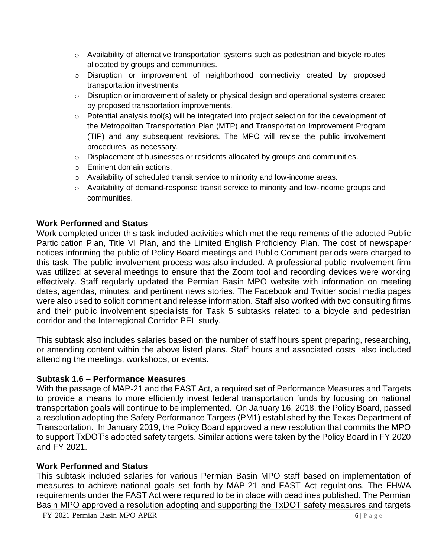- $\circ$  Availability of alternative transportation systems such as pedestrian and bicycle routes allocated by groups and communities.
- o Disruption or improvement of neighborhood connectivity created by proposed transportation investments.
- o Disruption or improvement of safety or physical design and operational systems created by proposed transportation improvements.
- o Potential analysis tool(s) will be integrated into project selection for the development of the Metropolitan Transportation Plan (MTP) and Transportation Improvement Program (TIP) and any subsequent revisions. The MPO will revise the public involvement procedures, as necessary.
- o Displacement of businesses or residents allocated by groups and communities.
- o Eminent domain actions.
- o Availability of scheduled transit service to minority and low-income areas.
- o Availability of demand-response transit service to minority and low-income groups and communities.

#### **Work Performed and Status**

Work completed under this task included activities which met the requirements of the adopted Public Participation Plan, Title VI Plan, and the Limited English Proficiency Plan. The cost of newspaper notices informing the public of Policy Board meetings and Public Comment periods were charged to this task. The public involvement process was also included. A professional public involvement firm was utilized at several meetings to ensure that the Zoom tool and recording devices were working effectively. Staff regularly updated the Permian Basin MPO website with information on meeting dates, agendas, minutes, and pertinent news stories. The Facebook and Twitter social media pages were also used to solicit comment and release information. Staff also worked with two consulting firms and their public involvement specialists for Task 5 subtasks related to a bicycle and pedestrian corridor and the Interregional Corridor PEL study.

This subtask also includes salaries based on the number of staff hours spent preparing, researching, or amending content within the above listed plans. Staff hours and associated costs also included attending the meetings, workshops, or events.

#### **Subtask 1.6 – Performance Measures**

With the passage of MAP-21 and the FAST Act, a required set of Performance Measures and Targets to provide a means to more efficiently invest federal transportation funds by focusing on national transportation goals will continue to be implemented. On January 16, 2018, the Policy Board, passed a resolution adopting the Safety Performance Targets (PM1) established by the Texas Department of Transportation. In January 2019, the Policy Board approved a new resolution that commits the MPO to support TxDOT's adopted safety targets. Similar actions were taken by the Policy Board in FY 2020 and FY 2021.

#### **Work Performed and Status**

This subtask included salaries for various Permian Basin MPO staff based on implementation of measures to achieve national goals set forth by MAP-21 and FAST Act regulations. The FHWA requirements under the FAST Act were required to be in place with deadlines published. The Permian Basin MPO approved a resolution adopting and supporting the TxDOT safety measures and targets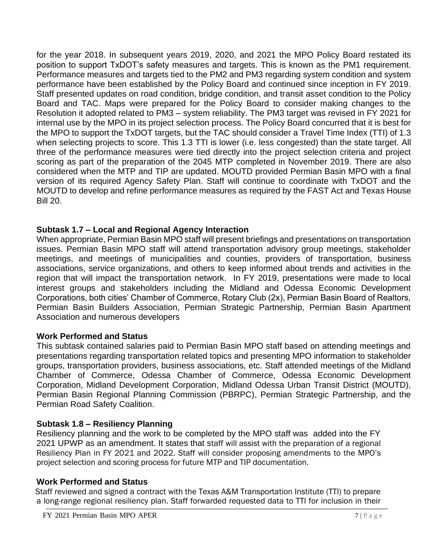for the year 2018. In subsequent years 2019, 2020, and 2021 the MPO Policy Board restated its position to support TxDOT's safety measures and targets. This is known as the PM1 requirement. Performance measures and targets tied to the PM2 and PM3 regarding system condition and system performance have been established by the Policy Board and continued since inception in FY 2019. Staff presented updates on road condition, bridge condition, and transit asset condition to the Policy Board and TAC. Maps were prepared for the Policy Board to consider making changes to the Resolution it adopted related to PM3 – system reliability. The PM3 target was revised in FY 2021 for internal use by the MPO in its project selection process. The Policy Board concurred that it is best for the MPO to support the TxDOT targets, but the TAC should consider a Travel Time Index (TTI) of 1.3 when selecting projects to score. This 1.3 TTI is lower (i.e. less congested) than the state target. All three of the performance measures were tied directly into the project selection criteria and project scoring as part of the preparation of the 2045 MTP completed in November 2019. There are also considered when the MTP and TIP are updated. MOUTD provided Permian Basin MPO with a final version of its required Agency Safety Plan. Staff will continue to coordinate with TxDOT and the MOUTD to develop and refine performance measures as required by the FAST Act and Texas House Bill 20.

# **Subtask 1.7 – Local and Regional Agency Interaction**

When appropriate, Permian Basin MPO staff will present briefings and presentations on transportation issues. Permian Basin MPO staff will attend transportation advisory group meetings, stakeholder meetings, and meetings of municipalities and counties, providers of transportation, business associations, service organizations, and others to keep informed about trends and activities in the region that will impact the transportation network. In FY 2019, presentations were made to local interest groups and stakeholders including the Midland and Odessa Economic Development Corporations, both cities' Chamber of Commerce, Rotary Club (2x), Permian Basin Board of Realtors, Permian Basin Builders Association, Permian Strategic Partnership, Permian Basin Apartment Association and numerous developers

# **Work Performed and Status**

This subtask contained salaries paid to Permian Basin MPO staff based on attending meetings and presentations regarding transportation related topics and presenting MPO information to stakeholder groups, transportation providers, business associations, etc. Staff attended meetings of the Midland Chamber of Commerce, Odessa Chamber of Commerce, Odessa Economic Development Corporation, Midland Development Corporation, Midland Odessa Urban Transit District (MOUTD), Permian Basin Regional Planning Commission (PBRPC), Permian Strategic Partnership, and the Permian Road Safety Coalition.

# **Subtask 1.8 – Resiliency Planning**

Resiliency planning and the work to be completed by the MPO staff was added into the FY 2021 UPWP as an amendment. It states that staff will assist with the preparation of a regional Resiliency Plan in FY 2021 and 2022. Staff will consider proposing amendments to the MPO's project selection and scoring process for future MTP and TIP documentation.

# **Work Performed and Status**

 Staff reviewed and signed a contract with the Texas A&M Transportation Institute (TTI) to prepare a long-range regional resiliency plan. Staff forwarded requested data to TTI for inclusion in their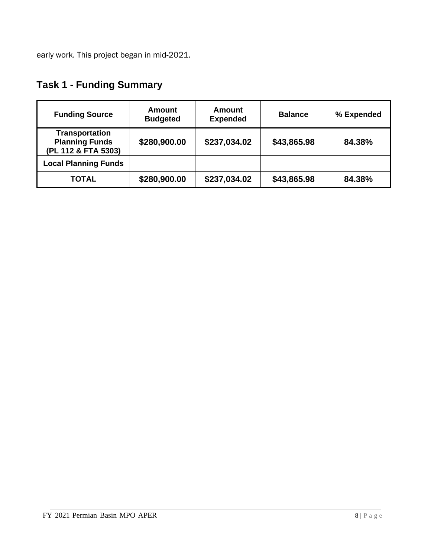early work. This project began in mid-2021.

| <b>Funding Source</b>                                                 | Amount<br><b>Budgeted</b> | <b>Amount</b><br><b>Expended</b> | <b>Balance</b> | % Expended |
|-----------------------------------------------------------------------|---------------------------|----------------------------------|----------------|------------|
| <b>Transportation</b><br><b>Planning Funds</b><br>(PL 112 & FTA 5303) | \$280,900.00              | \$237,034.02                     | \$43,865.98    | 84.38%     |
| <b>Local Planning Funds</b>                                           |                           |                                  |                |            |
| <b>TOTAL</b>                                                          | \$280,900.00              | \$237,034.02                     | \$43,865.98    | 84.38%     |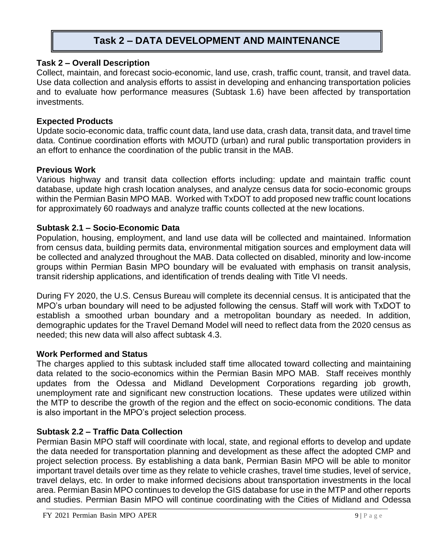# **Task 2 – DATA DEVELOPMENT AND MAINTENANCE**

#### **Task 2 – Overall Description**

Collect, maintain, and forecast socio-economic, land use, crash, traffic count, transit, and travel data. Use data collection and analysis efforts to assist in developing and enhancing transportation policies and to evaluate how performance measures (Subtask 1.6) have been affected by transportation investments.

## **Expected Products**

Update socio-economic data, traffic count data, land use data, crash data, transit data, and travel time data. Continue coordination efforts with MOUTD (urban) and rural public transportation providers in an effort to enhance the coordination of the public transit in the MAB.

## **Previous Work**

Various highway and transit data collection efforts including: update and maintain traffic count database, update high crash location analyses, and analyze census data for socio-economic groups within the Permian Basin MPO MAB. Worked with TxDOT to add proposed new traffic count locations for approximately 60 roadways and analyze traffic counts collected at the new locations.

## **Subtask 2.1 – Socio-Economic Data**

Population, housing, employment, and land use data will be collected and maintained. Information from census data, building permits data, environmental mitigation sources and employment data will be collected and analyzed throughout the MAB. Data collected on disabled, minority and low-income groups within Permian Basin MPO boundary will be evaluated with emphasis on transit analysis, transit ridership applications, and identification of trends dealing with Title VI needs.

During FY 2020, the U.S. Census Bureau will complete its decennial census. It is anticipated that the MPO's urban boundary will need to be adjusted following the census. Staff will work with TxDOT to establish a smoothed urban boundary and a metropolitan boundary as needed. In addition, demographic updates for the Travel Demand Model will need to reflect data from the 2020 census as needed; this new data will also affect subtask 4.3.

#### **Work Performed and Status**

The charges applied to this subtask included staff time allocated toward collecting and maintaining data related to the socio-economics within the Permian Basin MPO MAB. Staff receives monthly updates from the Odessa and Midland Development Corporations regarding job growth, unemployment rate and significant new construction locations. These updates were utilized within the MTP to describe the growth of the region and the effect on socio-economic conditions. The data is also important in the MPO's project selection process.

# **Subtask 2.2 – Traffic Data Collection**

Permian Basin MPO staff will coordinate with local, state, and regional efforts to develop and update the data needed for transportation planning and development as these affect the adopted CMP and project selection process. By establishing a data bank, Permian Basin MPO will be able to monitor important travel details over time as they relate to vehicle crashes, travel time studies, level of service, travel delays, etc. In order to make informed decisions about transportation investments in the local area. Permian Basin MPO continues to develop the GIS database for use in the MTP and other reports and studies. Permian Basin MPO will continue coordinating with the Cities of Midland and Odessa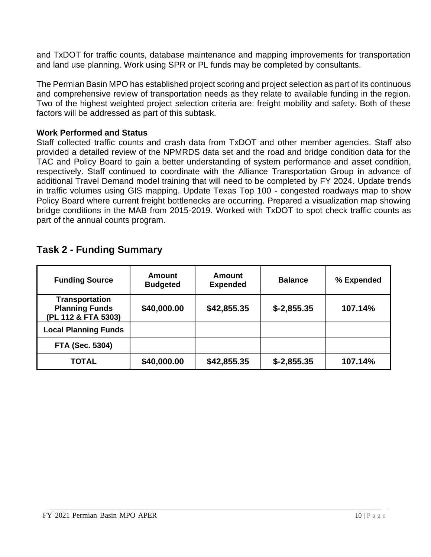and TxDOT for traffic counts, database maintenance and mapping improvements for transportation and land use planning. Work using SPR or PL funds may be completed by consultants.

The Permian Basin MPO has established project scoring and project selection as part of its continuous and comprehensive review of transportation needs as they relate to available funding in the region. Two of the highest weighted project selection criteria are: freight mobility and safety. Both of these factors will be addressed as part of this subtask.

#### **Work Performed and Status**

Staff collected traffic counts and crash data from TxDOT and other member agencies. Staff also provided a detailed review of the NPMRDS data set and the road and bridge condition data for the TAC and Policy Board to gain a better understanding of system performance and asset condition, respectively. Staff continued to coordinate with the Alliance Transportation Group in advance of additional Travel Demand model training that will need to be completed by FY 2024. Update trends in traffic volumes using GIS mapping. Update Texas Top 100 - congested roadways map to show Policy Board where current freight bottlenecks are occurring. Prepared a visualization map showing bridge conditions in the MAB from 2015-2019. Worked with TxDOT to spot check traffic counts as part of the annual counts program.

| <b>Funding Source</b>                                          | <b>Amount</b><br><b>Budgeted</b> | <b>Amount</b><br><b>Expended</b> | <b>Balance</b> | % Expended |
|----------------------------------------------------------------|----------------------------------|----------------------------------|----------------|------------|
| Transportation<br><b>Planning Funds</b><br>(PL 112 & FTA 5303) | \$40,000.00                      | \$42,855.35                      | $$-2,855.35$   | 107.14%    |
| <b>Local Planning Funds</b>                                    |                                  |                                  |                |            |
| <b>FTA (Sec. 5304)</b>                                         |                                  |                                  |                |            |
| TOTAL                                                          | \$40,000.00                      | \$42,855.35                      | $$-2,855.35$   | 107.14%    |

# **Task 2 - Funding Summary**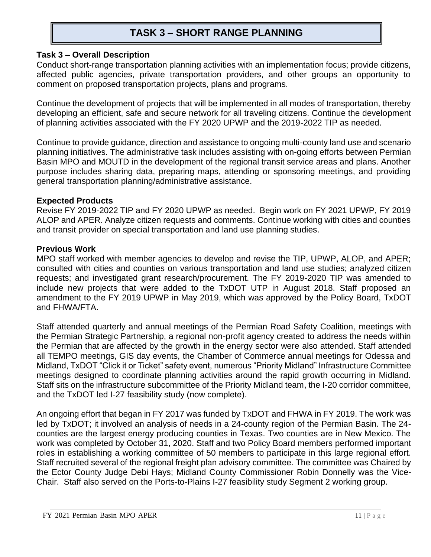# **TASK 3 – SHORT RANGE PLANNING**

#### **Task 3 – Overall Description**

Conduct short-range transportation planning activities with an implementation focus; provide citizens, affected public agencies, private transportation providers, and other groups an opportunity to comment on proposed transportation projects, plans and programs.

Continue the development of projects that will be implemented in all modes of transportation, thereby developing an efficient, safe and secure network for all traveling citizens. Continue the development of planning activities associated with the FY 2020 UPWP and the 2019-2022 TIP as needed.

Continue to provide guidance, direction and assistance to ongoing multi-county land use and scenario planning initiatives. The administrative task includes assisting with on-going efforts between Permian Basin MPO and MOUTD in the development of the regional transit service areas and plans. Another purpose includes sharing data, preparing maps, attending or sponsoring meetings, and providing general transportation planning/administrative assistance.

#### **Expected Products**

Revise FY 2019-2022 TIP and FY 2020 UPWP as needed. Begin work on FY 2021 UPWP, FY 2019 ALOP and APER. Analyze citizen requests and comments. Continue working with cities and counties and transit provider on special transportation and land use planning studies.

#### **Previous Work**

MPO staff worked with member agencies to develop and revise the TIP, UPWP, ALOP, and APER; consulted with cities and counties on various transportation and land use studies; analyzed citizen requests; and investigated grant research/procurement. The FY 2019-2020 TIP was amended to include new projects that were added to the TxDOT UTP in August 2018. Staff proposed an amendment to the FY 2019 UPWP in May 2019, which was approved by the Policy Board, TxDOT and FHWA/FTA.

Staff attended quarterly and annual meetings of the Permian Road Safety Coalition, meetings with the Permian Strategic Partnership, a regional non-profit agency created to address the needs within the Permian that are affected by the growth in the energy sector were also attended. Staff attended all TEMPO meetings, GIS day events, the Chamber of Commerce annual meetings for Odessa and Midland, TxDOT "Click it or Ticket" safety event, numerous "Priority Midland" Infrastructure Committee meetings designed to coordinate planning activities around the rapid growth occurring in Midland. Staff sits on the infrastructure subcommittee of the Priority Midland team, the I-20 corridor committee, and the TxDOT led I-27 feasibility study (now complete).

An ongoing effort that began in FY 2017 was funded by TxDOT and FHWA in FY 2019. The work was led by TxDOT; it involved an analysis of needs in a 24-county region of the Permian Basin. The 24 counties are the largest energy producing counties in Texas. Two counties are in New Mexico. The work was completed by October 31, 2020. Staff and two Policy Board members performed important roles in establishing a working committee of 50 members to participate in this large regional effort. Staff recruited several of the regional freight plan advisory committee. The committee was Chaired by the Ector County Judge Debi Hays; Midland County Commissioner Robin Donnelly was the Vice-Chair. Staff also served on the Ports-to-Plains I-27 feasibility study Segment 2 working group.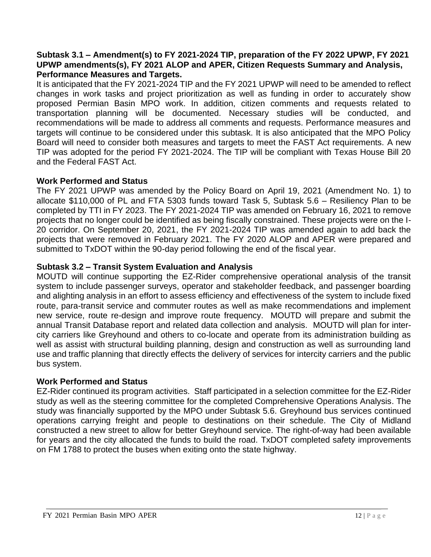#### **Subtask 3.1 – Amendment(s) to FY 2021-2024 TIP, preparation of the FY 2022 UPWP, FY 2021 UPWP amendments(s), FY 2021 ALOP and APER, Citizen Requests Summary and Analysis, Performance Measures and Targets.**

It is anticipated that the FY 2021-2024 TIP and the FY 2021 UPWP will need to be amended to reflect changes in work tasks and project prioritization as well as funding in order to accurately show proposed Permian Basin MPO work. In addition, citizen comments and requests related to transportation planning will be documented. Necessary studies will be conducted, and recommendations will be made to address all comments and requests. Performance measures and targets will continue to be considered under this subtask. It is also anticipated that the MPO Policy Board will need to consider both measures and targets to meet the FAST Act requirements. A new TIP was adopted for the period FY 2021-2024. The TIP will be compliant with Texas House Bill 20 and the Federal FAST Act.

# **Work Performed and Status**

The FY 2021 UPWP was amended by the Policy Board on April 19, 2021 (Amendment No. 1) to allocate \$110,000 of PL and FTA 5303 funds toward Task 5, Subtask 5.6 – Resiliency Plan to be completed by TTI in FY 2023. The FY 2021-2024 TIP was amended on February 16, 2021 to remove projects that no longer could be identified as being fiscally constrained. These projects were on the I-20 corridor. On September 20, 2021, the FY 2021-2024 TIP was amended again to add back the projects that were removed in February 2021. The FY 2020 ALOP and APER were prepared and submitted to TxDOT within the 90-day period following the end of the fiscal year.

# **Subtask 3.2 – Transit System Evaluation and Analysis**

MOUTD will continue supporting the EZ-Rider comprehensive operational analysis of the transit system to include passenger surveys, operator and stakeholder feedback, and passenger boarding and alighting analysis in an effort to assess efficiency and effectiveness of the system to include fixed route, para-transit service and commuter routes as well as make recommendations and implement new service, route re-design and improve route frequency. MOUTD will prepare and submit the annual Transit Database report and related data collection and analysis. MOUTD will plan for intercity carriers like Greyhound and others to co-locate and operate from its administration building as well as assist with structural building planning, design and construction as well as surrounding land use and traffic planning that directly effects the delivery of services for intercity carriers and the public bus system.

#### **Work Performed and Status**

EZ-Rider continued its program activities. Staff participated in a selection committee for the EZ-Rider study as well as the steering committee for the completed Comprehensive Operations Analysis. The study was financially supported by the MPO under Subtask 5.6. Greyhound bus services continued operations carrying freight and people to destinations on their schedule. The City of Midland constructed a new street to allow for better Greyhound service. The right-of-way had been available for years and the city allocated the funds to build the road. TxDOT completed safety improvements on FM 1788 to protect the buses when exiting onto the state highway.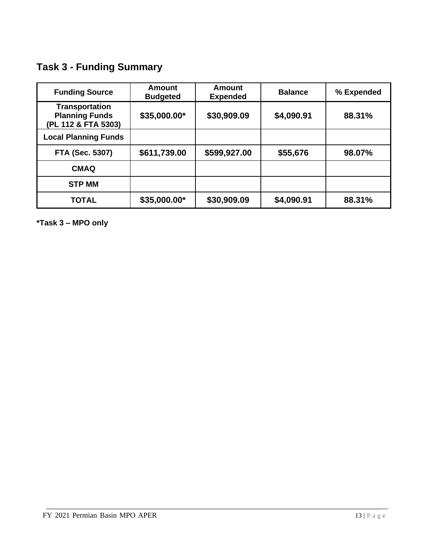**Task 3 - Funding Summary**

| <b>Funding Source</b>                                                 | Amount<br><b>Budgeted</b> | Amount<br><b>Expended</b> | <b>Balance</b> | % Expended |
|-----------------------------------------------------------------------|---------------------------|---------------------------|----------------|------------|
| <b>Transportation</b><br><b>Planning Funds</b><br>(PL 112 & FTA 5303) | \$35,000.00*              | \$30,909.09               | \$4,090.91     | 88.31%     |
| <b>Local Planning Funds</b>                                           |                           |                           |                |            |
| <b>FTA (Sec. 5307)</b>                                                | \$611,739.00              | \$599,927.00              | \$55,676       | 98.07%     |
| <b>CMAQ</b>                                                           |                           |                           |                |            |
| <b>STP MM</b>                                                         |                           |                           |                |            |
| <b>TOTAL</b>                                                          | \$35,000.00*              | \$30,909.09               | \$4,090.91     | 88.31%     |

**\*Task 3 – MPO only**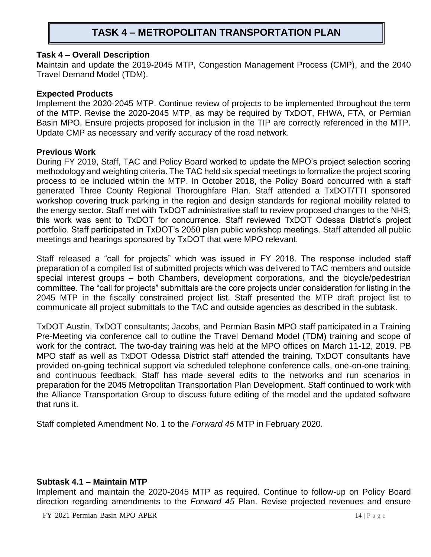# **TASK 4 – METROPOLITAN TRANSPORTATION PLAN**

#### **Task 4 – Overall Description**

Maintain and update the 2019-2045 MTP, Congestion Management Process (CMP), and the 2040 Travel Demand Model (TDM).

#### **Expected Products**

Implement the 2020-2045 MTP. Continue review of projects to be implemented throughout the term of the MTP. Revise the 2020-2045 MTP, as may be required by TxDOT, FHWA, FTA, or Permian Basin MPO. Ensure projects proposed for inclusion in the TIP are correctly referenced in the MTP. Update CMP as necessary and verify accuracy of the road network.

#### **Previous Work**

During FY 2019, Staff, TAC and Policy Board worked to update the MPO's project selection scoring methodology and weighting criteria. The TAC held six special meetings to formalize the project scoring process to be included within the MTP. In October 2018, the Policy Board concurred with a staff generated Three County Regional Thoroughfare Plan. Staff attended a TxDOT/TTI sponsored workshop covering truck parking in the region and design standards for regional mobility related to the energy sector. Staff met with TxDOT administrative staff to review proposed changes to the NHS; this work was sent to TxDOT for concurrence. Staff reviewed TxDOT Odessa District's project portfolio. Staff participated in TxDOT's 2050 plan public workshop meetings. Staff attended all public meetings and hearings sponsored by TxDOT that were MPO relevant.

Staff released a "call for projects" which was issued in FY 2018. The response included staff preparation of a compiled list of submitted projects which was delivered to TAC members and outside special interest groups – both Chambers, development corporations, and the bicycle/pedestrian committee. The "call for projects" submittals are the core projects under consideration for listing in the 2045 MTP in the fiscally constrained project list. Staff presented the MTP draft project list to communicate all project submittals to the TAC and outside agencies as described in the subtask.

TxDOT Austin, TxDOT consultants; Jacobs, and Permian Basin MPO staff participated in a Training Pre-Meeting via conference call to outline the Travel Demand Model (TDM) training and scope of work for the contract. The two-day training was held at the MPO offices on March 11-12, 2019. PB MPO staff as well as TxDOT Odessa District staff attended the training. TxDOT consultants have provided on-going technical support via scheduled telephone conference calls, one-on-one training, and continuous feedback. Staff has made several edits to the networks and run scenarios in preparation for the 2045 Metropolitan Transportation Plan Development. Staff continued to work with the Alliance Transportation Group to discuss future editing of the model and the updated software that runs it.

Staff completed Amendment No. 1 to the *Forward 45* MTP in February 2020.

#### **Subtask 4.1 – Maintain MTP**

Implement and maintain the 2020-2045 MTP as required. Continue to follow-up on Policy Board direction regarding amendments to the *Forward 45* Plan. Revise projected revenues and ensure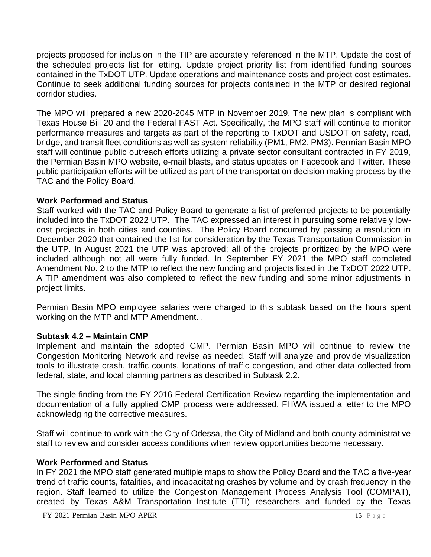projects proposed for inclusion in the TIP are accurately referenced in the MTP. Update the cost of the scheduled projects list for letting. Update project priority list from identified funding sources contained in the TxDOT UTP. Update operations and maintenance costs and project cost estimates. Continue to seek additional funding sources for projects contained in the MTP or desired regional corridor studies.

The MPO will prepared a new 2020-2045 MTP in November 2019. The new plan is compliant with Texas House Bill 20 and the Federal FAST Act. Specifically, the MPO staff will continue to monitor performance measures and targets as part of the reporting to TxDOT and USDOT on safety, road, bridge, and transit fleet conditions as well as system reliability (PM1, PM2, PM3). Permian Basin MPO staff will continue public outreach efforts utilizing a private sector consultant contracted in FY 2019, the Permian Basin MPO website, e-mail blasts, and status updates on Facebook and Twitter. These public participation efforts will be utilized as part of the transportation decision making process by the TAC and the Policy Board.

## **Work Performed and Status**

Staff worked with the TAC and Policy Board to generate a list of preferred projects to be potentially included into the TxDOT 2022 UTP. The TAC expressed an interest in pursuing some relatively lowcost projects in both cities and counties. The Policy Board concurred by passing a resolution in December 2020 that contained the list for consideration by the Texas Transportation Commission in the UTP. In August 2021 the UTP was approved; all of the projects prioritized by the MPO were included although not all were fully funded. In September FY 2021 the MPO staff completed Amendment No. 2 to the MTP to reflect the new funding and projects listed in the TxDOT 2022 UTP. A TIP amendment was also completed to reflect the new funding and some minor adjustments in project limits.

Permian Basin MPO employee salaries were charged to this subtask based on the hours spent working on the MTP and MTP Amendment. .

# **Subtask 4.2 – Maintain CMP**

Implement and maintain the adopted CMP. Permian Basin MPO will continue to review the Congestion Monitoring Network and revise as needed. Staff will analyze and provide visualization tools to illustrate crash, traffic counts, locations of traffic congestion, and other data collected from federal, state, and local planning partners as described in Subtask 2.2.

The single finding from the FY 2016 Federal Certification Review regarding the implementation and documentation of a fully applied CMP process were addressed. FHWA issued a letter to the MPO acknowledging the corrective measures.

Staff will continue to work with the City of Odessa, the City of Midland and both county administrative staff to review and consider access conditions when review opportunities become necessary.

#### **Work Performed and Status**

In FY 2021 the MPO staff generated multiple maps to show the Policy Board and the TAC a five-year trend of traffic counts, fatalities, and incapacitating crashes by volume and by crash frequency in the region. Staff learned to utilize the Congestion Management Process Analysis Tool (COMPAT), created by Texas A&M Transportation Institute (TTI) researchers and funded by the Texas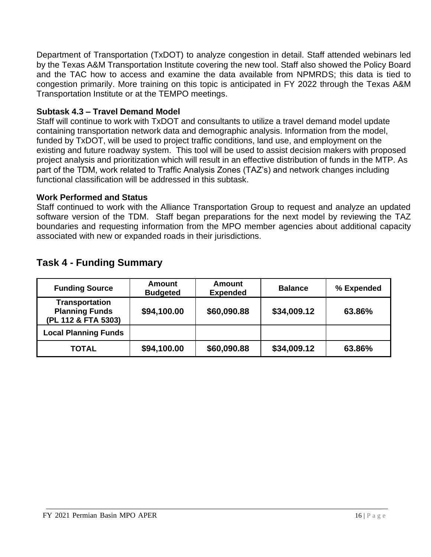Department of Transportation (TxDOT) to analyze congestion in detail. Staff attended webinars led by the Texas A&M Transportation Institute covering the new tool. Staff also showed the Policy Board and the TAC how to access and examine the data available from NPMRDS; this data is tied to congestion primarily. More training on this topic is anticipated in FY 2022 through the Texas A&M Transportation Institute or at the TEMPO meetings.

## **Subtask 4.3 – Travel Demand Model**

Staff will continue to work with TxDOT and consultants to utilize a travel demand model update containing transportation network data and demographic analysis. Information from the model, funded by TxDOT, will be used to project traffic conditions, land use, and employment on the existing and future roadway system. This tool will be used to assist decision makers with proposed project analysis and prioritization which will result in an effective distribution of funds in the MTP. As part of the TDM, work related to Traffic Analysis Zones (TAZ's) and network changes including functional classification will be addressed in this subtask.

#### **Work Performed and Status**

Staff continued to work with the Alliance Transportation Group to request and analyze an updated software version of the TDM. Staff began preparations for the next model by reviewing the TAZ boundaries and requesting information from the MPO member agencies about additional capacity associated with new or expanded roads in their jurisdictions.

| <b>Funding Source</b>                                                 | Amount<br><b>Budgeted</b> | <b>Amount</b><br><b>Expended</b> | <b>Balance</b> | % Expended |
|-----------------------------------------------------------------------|---------------------------|----------------------------------|----------------|------------|
| <b>Transportation</b><br><b>Planning Funds</b><br>(PL 112 & FTA 5303) | \$94,100.00               | \$60,090.88                      | \$34,009.12    | 63.86%     |
| <b>Local Planning Funds</b>                                           |                           |                                  |                |            |
| <b>TOTAL</b>                                                          | \$94,100.00               | \$60,090.88                      | \$34,009.12    | 63.86%     |

# **Task 4 - Funding Summary**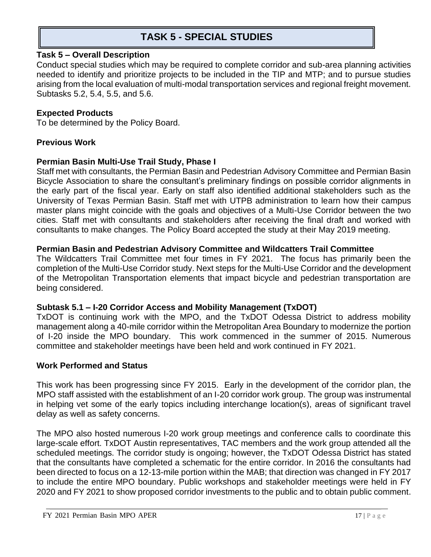# **TASK 5 - SPECIAL STUDIES**

#### **Task 5 – Overall Description**

Conduct special studies which may be required to complete corridor and sub-area planning activities needed to identify and prioritize projects to be included in the TIP and MTP; and to pursue studies arising from the local evaluation of multi-modal transportation services and regional freight movement. Subtasks 5.2, 5.4, 5.5, and 5.6.

#### **Expected Products**

To be determined by the Policy Board.

#### **Previous Work**

#### **Permian Basin Multi-Use Trail Study, Phase I**

Staff met with consultants, the Permian Basin and Pedestrian Advisory Committee and Permian Basin Bicycle Association to share the consultant's preliminary findings on possible corridor alignments in the early part of the fiscal year. Early on staff also identified additional stakeholders such as the University of Texas Permian Basin. Staff met with UTPB administration to learn how their campus master plans might coincide with the goals and objectives of a Multi-Use Corridor between the two cities. Staff met with consultants and stakeholders after receiving the final draft and worked with consultants to make changes. The Policy Board accepted the study at their May 2019 meeting.

#### **Permian Basin and Pedestrian Advisory Committee and Wildcatters Trail Committee**

The Wildcatters Trail Committee met four times in FY 2021. The focus has primarily been the completion of the Multi-Use Corridor study. Next steps for the Multi-Use Corridor and the development of the Metropolitan Transportation elements that impact bicycle and pedestrian transportation are being considered.

#### **Subtask 5.1 – I-20 Corridor Access and Mobility Management (TxDOT)**

TxDOT is continuing work with the MPO, and the TxDOT Odessa District to address mobility management along a 40-mile corridor within the Metropolitan Area Boundary to modernize the portion of I-20 inside the MPO boundary. This work commenced in the summer of 2015. Numerous committee and stakeholder meetings have been held and work continued in FY 2021.

#### **Work Performed and Status**

This work has been progressing since FY 2015. Early in the development of the corridor plan, the MPO staff assisted with the establishment of an I-20 corridor work group. The group was instrumental in helping vet some of the early topics including interchange location(s), areas of significant travel delay as well as safety concerns.

The MPO also hosted numerous I-20 work group meetings and conference calls to coordinate this large-scale effort. TxDOT Austin representatives, TAC members and the work group attended all the scheduled meetings. The corridor study is ongoing; however, the TxDOT Odessa District has stated that the consultants have completed a schematic for the entire corridor. In 2016 the consultants had been directed to focus on a 12-13-mile portion within the MAB; that direction was changed in FY 2017 to include the entire MPO boundary. Public workshops and stakeholder meetings were held in FY 2020 and FY 2021 to show proposed corridor investments to the public and to obtain public comment.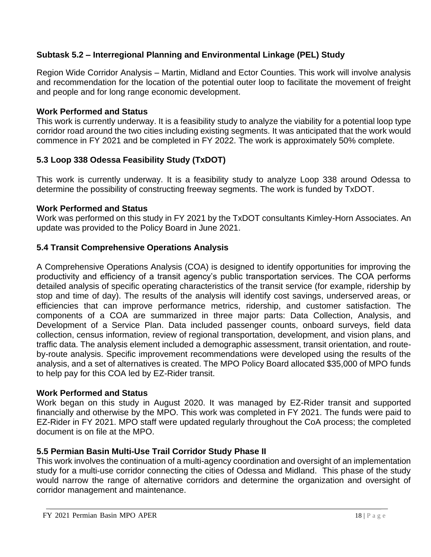# **Subtask 5.2 – Interregional Planning and Environmental Linkage (PEL) Study**

Region Wide Corridor Analysis – Martin, Midland and Ector Counties. This work will involve analysis and recommendation for the location of the potential outer loop to facilitate the movement of freight and people and for long range economic development.

## **Work Performed and Status**

This work is currently underway. It is a feasibility study to analyze the viability for a potential loop type corridor road around the two cities including existing segments. It was anticipated that the work would commence in FY 2021 and be completed in FY 2022. The work is approximately 50% complete.

# **5.3 Loop 338 Odessa Feasibility Study (TxDOT)**

This work is currently underway. It is a feasibility study to analyze Loop 338 around Odessa to determine the possibility of constructing freeway segments. The work is funded by TxDOT.

#### **Work Performed and Status**

Work was performed on this study in FY 2021 by the TxDOT consultants Kimley-Horn Associates. An update was provided to the Policy Board in June 2021.

## **5.4 Transit Comprehensive Operations Analysis**

A Comprehensive Operations Analysis (COA) is designed to identify opportunities for improving the productivity and efficiency of a transit agency's public transportation services. The COA performs detailed analysis of specific operating characteristics of the transit service (for example, ridership by stop and time of day). The results of the analysis will identify cost savings, underserved areas, or efficiencies that can improve performance metrics, ridership, and customer satisfaction. The components of a COA are summarized in three major parts: Data Collection, Analysis, and Development of a Service Plan. Data included passenger counts, onboard surveys, field data collection, census information, review of regional transportation, development, and vision plans, and traffic data. The analysis element included a demographic assessment, transit orientation, and routeby-route analysis. Specific improvement recommendations were developed using the results of the analysis, and a set of alternatives is created. The MPO Policy Board allocated \$35,000 of MPO funds to help pay for this COA led by EZ-Rider transit.

#### **Work Performed and Status**

Work began on this study in August 2020. It was managed by EZ-Rider transit and supported financially and otherwise by the MPO. This work was completed in FY 2021. The funds were paid to EZ-Rider in FY 2021. MPO staff were updated regularly throughout the CoA process; the completed document is on file at the MPO.

# **5.5 Permian Basin Multi-Use Trail Corridor Study Phase II**

This work involves the continuation of a multi-agency coordination and oversight of an implementation study for a multi-use corridor connecting the cities of Odessa and Midland. This phase of the study would narrow the range of alternative corridors and determine the organization and oversight of corridor management and maintenance.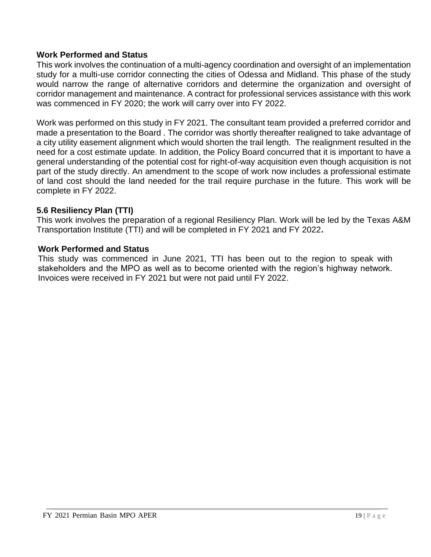#### **Work Performed and Status**

This work involves the continuation of a multi-agency coordination and oversight of an implementation study for a multi-use corridor connecting the cities of Odessa and Midland. This phase of the study would narrow the range of alternative corridors and determine the organization and oversight of corridor management and maintenance. A contract for professional services assistance with this work was commenced in FY 2020; the work will carry over into FY 2022.

Work was performed on this study in FY 2021. The consultant team provided a preferred corridor and made a presentation to the Board . The corridor was shortly thereafter realigned to take advantage of a city utility easement alignment which would shorten the trail length. The realignment resulted in the need for a cost estimate update. In addition, the Policy Board concurred that it is important to have a general understanding of the potential cost for right-of-way acquisition even though acquisition is not part of the study directly. An amendment to the scope of work now includes a professional estimate of land cost should the land needed for the trail require purchase in the future. This work will be complete in FY 2022.

#### **5.6 Resiliency Plan (TTI)**

This work involves the preparation of a regional Resiliency Plan. Work will be led by the Texas A&M Transportation Institute (TTI) and will be completed in FY 2021 and FY 2022**.**

#### **Work Performed and Status**

This study was commenced in June 2021, TTI has been out to the region to speak with stakeholders and the MPO as well as to become oriented with the region's highway network. Invoices were received in FY 2021 but were not paid until FY 2022.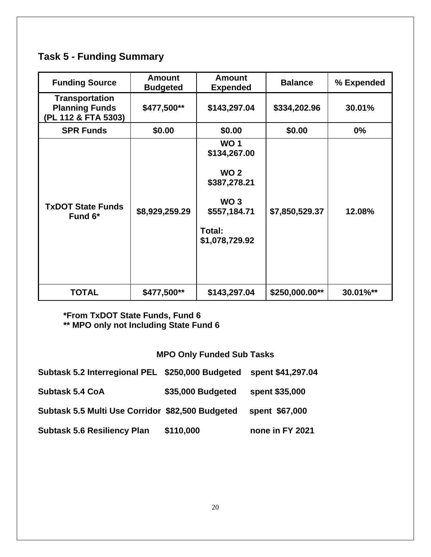# **Task 5 - Funding Summary**

| <b>Funding Source</b>                                                 | <b>Amount</b><br><b>Budgeted</b> | <b>Amount</b><br><b>Expended</b> | <b>Balance</b> | % Expended |
|-----------------------------------------------------------------------|----------------------------------|----------------------------------|----------------|------------|
| <b>Transportation</b><br><b>Planning Funds</b><br>(PL 112 & FTA 5303) | \$477,500**                      | \$143,297.04                     | \$334,202.96   | 30.01%     |
| <b>SPR Funds</b>                                                      | \$0.00                           | \$0.00                           | \$0.00         | $0\%$      |
| <b>TxDOT State Funds</b><br>Fund 6*                                   |                                  | <b>WO1</b><br>\$134,267.00       |                |            |
|                                                                       |                                  | <b>WO 2</b><br>\$387,278.21      |                |            |
|                                                                       | \$8,929,259.29                   | WO <sub>3</sub><br>\$557,184.71  | \$7,850,529.37 | 12.08%     |
|                                                                       |                                  | Total:<br>\$1,078,729.92         |                |            |
| <b>TOTAL</b>                                                          | \$477,500**                      | \$143,297.04                     | \$250,000.00** | 30.01%**   |

**\*From TxDOT State Funds, Fund 6 \*\* MPO only not Including State Fund 6**

# **MPO Only Funded Sub Tasks**

| Subtask 5.2 Interregional PEL \$250,000 Budgeted |                   | spent \$41,297.04 |
|--------------------------------------------------|-------------------|-------------------|
| <b>Subtask 5.4 CoA</b>                           | \$35,000 Budgeted | spent \$35,000    |
| Subtask 5.5 Multi Use Corridor \$82,500 Budgeted |                   | spent \$67,000    |
| <b>Subtask 5.6 Resiliency Plan</b>               | \$110,000         | none in FY 2021   |